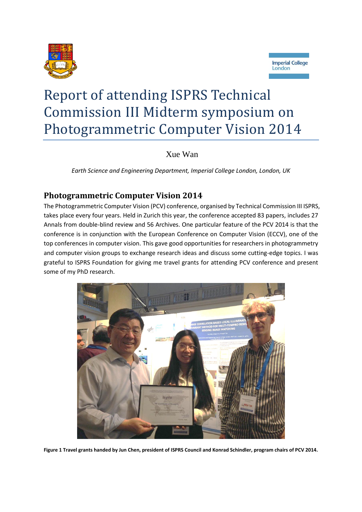



# Report of attending ISPRS Technical Commission III Midterm symposium on Photogrammetric Computer Vision 2014

Xue Wan

*Earth Science and Engineering Department, Imperial College London, London, UK*

# **Photogrammetric Computer Vision 2014**

The Photogrammetric Computer Vision (PCV) conference, organised by Technical Commission III ISPRS, takes place every four years. Held in Zurich this year, the conference accepted 83 papers, includes 27 Annals from double-blind review and 56 Archives. One particular feature of the PCV 2014 is that the conference is in conjunction with the European Conference on Computer Vision (ECCV), one of the top conferences in computer vision. This gave good opportunities for researchers in photogrammetry and computer vision groups to exchange research ideas and discuss some cutting-edge topics. I was grateful to ISPRS Foundation for giving me travel grants for attending PCV conference and present some of my PhD research.



**Figure 1 Travel grants handed by Jun Chen, president of ISPRS Council and Konrad Schindler, program chairs of PCV 2014.**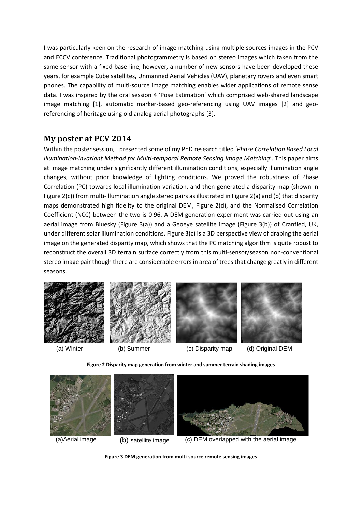I was particularly keen on the research of image matching using multiple sources images in the PCV and ECCV conference. Traditional photogrammetry is based on stereo images which taken from the same sensor with a fixed base-line, however, a number of new sensors have been developed these years, for example Cube satellites, Unmanned Aerial Vehicles (UAV), planetary rovers and even smart phones. The capability of multi-source image matching enables wider applications of remote sense data. I was inspired by the oral session 4 'Pose Estimation' which comprised web-shared landscape image matching [\[1\]](#page-2-0), automatic marker-based geo-referencing using UAV images [\[2\]](#page-2-1) and georeferencing of heritage using old analog aerial photographs [\[3\]](#page-2-2).

#### **My poster at PCV 2014**

Within the poster session, I presented some of my PhD research titled '*Phase Correlation Based Local Illumination-invariant Method for Multi-temporal Remote Sensing Image Matching*'. This paper aims at image matching under significantly different illumination conditions, especially illumination angle changes, without prior knowledge of lighting conditions. We proved the robustness of Phase Correlation (PC) towards local illumination variation, and then generated a disparity map (shown in [Figure 2\(](#page-1-0)c)) from multi-illumination angle stereo pairs as illustrated i[n Figure 2\(](#page-1-0)a) and (b) that disparity maps demonstrated high fidelity to the original DEM, [Figure 2\(](#page-1-0)d), and the Normalised Correlation Coefficient (NCC) between the two is 0.96. A DEM generation experiment was carried out using an aerial image from Bluesky [\(Figure 3\(](#page-1-1)a)) and a Geoeye satellite image [\(Figure 3\(](#page-1-1)b)) of Cranfied, UK, under different solar illumination conditions. [Figure 3\(](#page-1-1)c) is a 3D perspective view of draping the aerial image on the generated disparity map, which shows that the PC matching algorithm is quite robust to reconstruct the overall 3D terrain surface correctly from this multi-sensor/season non-conventional stereo image pair though there are considerable errors in area of trees that change greatly in different seasons.









(a) Winter (b) Summer (c) Disparity map (d) Original DEM

**Figure 2 Disparity map generation from winter and summer terrain shading images**

<span id="page-1-1"></span><span id="page-1-0"></span>

**Figure 3 DEM generation from multi-source remote sensing images**